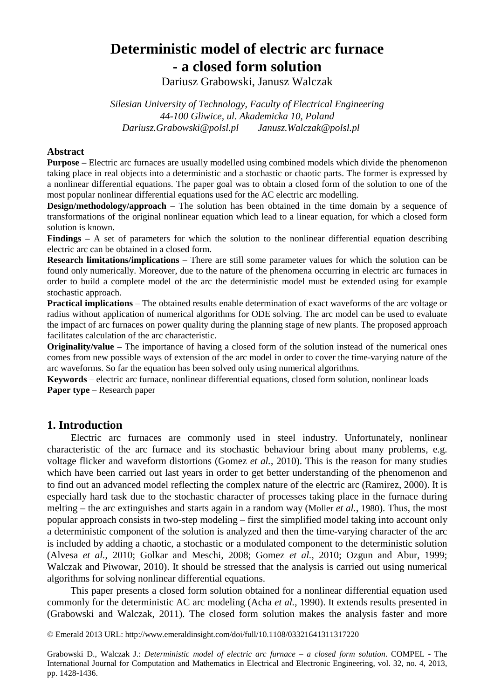# **Deterministic model of electric arc furnace - a closed form solution**

Dariusz Grabowski, Janusz Walczak

*Silesian University of Technology, Faculty of Electrical Engineering 44-100 Gliwice, ul. Akademicka 10, Poland Dariusz.Grabowski@polsl.pl Janusz.Walczak@polsl.pl* 

# **Abstract**

**Purpose** – Electric arc furnaces are usually modelled using combined models which divide the phenomenon taking place in real objects into a deterministic and a stochastic or chaotic parts. The former is expressed by a nonlinear differential equations. The paper goal was to obtain a closed form of the solution to one of the most popular nonlinear differential equations used for the AC electric arc modelling.

**Design/methodology/approach** – The solution has been obtained in the time domain by a sequence of transformations of the original nonlinear equation which lead to a linear equation, for which a closed form solution is known.

**Findings** – A set of parameters for which the solution to the nonlinear differential equation describing electric arc can be obtained in a closed form.

**Research limitations/implications** – There are still some parameter values for which the solution can be found only numerically. Moreover, due to the nature of the phenomena occurring in electric arc furnaces in order to build a complete model of the arc the deterministic model must be extended using for example stochastic approach.

**Practical implications** – The obtained results enable determination of exact waveforms of the arc voltage or radius without application of numerical algorithms for ODE solving. The arc model can be used to evaluate the impact of arc furnaces on power quality during the planning stage of new plants. The proposed approach facilitates calculation of the arc characteristic.

**Originality/value** – The importance of having a closed form of the solution instead of the numerical ones comes from new possible ways of extension of the arc model in order to cover the time-varying nature of the arc waveforms. So far the equation has been solved only using numerical algorithms.

**Keywords** – electric arc furnace, nonlinear differential equations, closed form solution, nonlinear loads **Paper type** – Research paper

# **1. Introduction**

Electric arc furnaces are commonly used in steel industry. Unfortunately, nonlinear characteristic of the arc furnace and its stochastic behaviour bring about many problems, e.g. voltage flicker and waveform distortions (Gomez *et al.*, 2010). This is the reason for many studies which have been carried out last years in order to get better understanding of the phenomenon and to find out an advanced model reflecting the complex nature of the electric arc (Ramirez, 2000). It is especially hard task due to the stochastic character of processes taking place in the furnace during melting – the arc extinguishes and starts again in a random way (Moller *et al.*, 1980). Thus, the most popular approach consists in two-step modeling – first the simplified model taking into account only a deterministic component of the solution is analyzed and then the time-varying character of the arc is included by adding a chaotic, a stochastic or a modulated component to the deterministic solution (Alvesa *et al.*, 2010; Golkar and Meschi, 2008; Gomez *et al.*, 2010; Ozgun and Abur, 1999; Walczak and Piwowar, 2010). It should be stressed that the analysis is carried out using numerical algorithms for solving nonlinear differential equations.

This paper presents a closed form solution obtained for a nonlinear differential equation used commonly for the deterministic AC arc modeling (Acha *et al.*, 1990). It extends results presented in (Grabowski and Walczak, 2011). The closed form solution makes the analysis faster and more

© Emerald 2013 URL: http://www.emeraldinsight.com/doi/full/10.1108/03321641311317220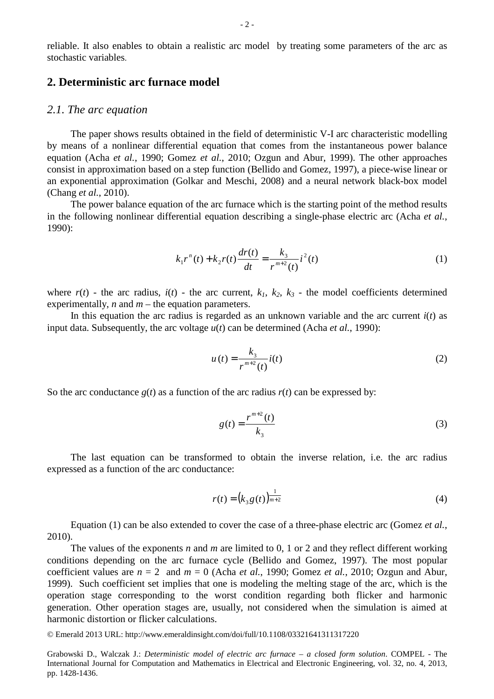reliable. It also enables to obtain a realistic arc model by treating some parameters of the arc as stochastic variables.

# **2. Deterministic arc furnace model**

#### *2.1. The arc equation*

The paper shows results obtained in the field of deterministic V-I arc characteristic modelling by means of a nonlinear differential equation that comes from the instantaneous power balance equation (Acha *et al.*, 1990; Gomez *et al.*, 2010; Ozgun and Abur, 1999). The other approaches consist in approximation based on a step function (Bellido and Gomez, 1997), a piece-wise linear or an exponential approximation (Golkar and Meschi, 2008) and a neural network black-box model (Chang *et al.*, 2010).

The power balance equation of the arc furnace which is the starting point of the method results in the following nonlinear differential equation describing a single-phase electric arc (Acha *et al.*, 1990):

$$
k_1 r^n(t) + k_2 r(t) \frac{dr(t)}{dt} = \frac{k_3}{r^{m+2}(t)} i^2(t)
$$
 (1)

where  $r(t)$  - the arc radius,  $i(t)$  - the arc current,  $k_1$ ,  $k_2$ ,  $k_3$  - the model coefficients determined experimentally, *n* and *m* – the equation parameters.

In this equation the arc radius is regarded as an unknown variable and the arc current  $i(t)$  as input data. Subsequently, the arc voltage *u*(*t*) can be determined (Acha *et al.*, 1990):

$$
u(t) = \frac{k_3}{r^{m+2}(t)} i(t)
$$
 (2)

So the arc conductance  $g(t)$  as a function of the arc radius  $r(t)$  can be expressed by:

$$
g(t) = \frac{r^{m+2}(t)}{k_3}
$$
 (3)

The last equation can be transformed to obtain the inverse relation, i.e. the arc radius expressed as a function of the arc conductance:

$$
r(t) = (k_3 g(t))_{m+2}^{\frac{1}{m+2}}
$$
 (4)

Equation (1) can be also extended to cover the case of a three-phase electric arc (Gomez *et al.*, 2010).

The values of the exponents *n* and *m* are limited to 0, 1 or 2 and they reflect different working conditions depending on the arc furnace cycle (Bellido and Gomez, 1997). The most popular coefficient values are  $n = 2$  and  $m = 0$  (Acha *et al.*, 1990; Gomez *et al.*, 2010; Ozgun and Abur, 1999). Such coefficient set implies that one is modeling the melting stage of the arc, which is the operation stage corresponding to the worst condition regarding both flicker and harmonic generation. Other operation stages are, usually, not considered when the simulation is aimed at harmonic distortion or flicker calculations.

© Emerald 2013 URL: http://www.emeraldinsight.com/doi/full/10.1108/03321641311317220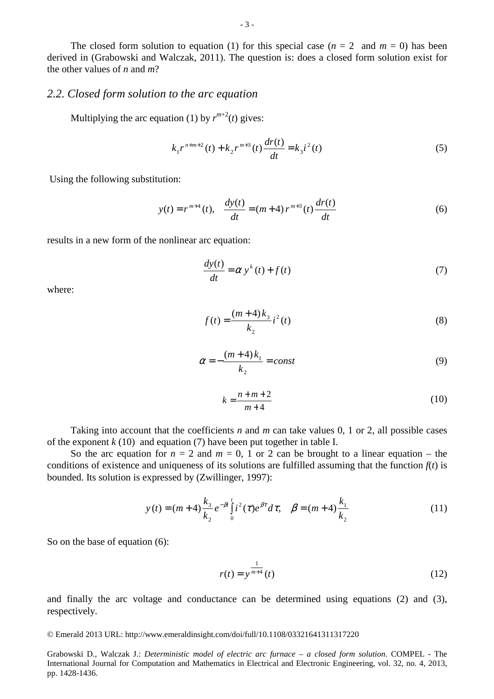The closed form solution to equation (1) for this special case  $(n = 2 \text{ and } m = 0)$  has been derived in (Grabowski and Walczak, 2011). The question is: does a closed form solution exist for the other values of *n* and *m*?

### *2.2. Closed form solution to the arc equation*

Multiplying the arc equation (1) by  $r^{m+2}(t)$  gives:

$$
k_1 r^{n+m+2}(t) + k_2 r^{m+3}(t) \frac{dr(t)}{dt} = k_3 i^2(t)
$$
 (5)

Using the following substitution:

$$
y(t) = r^{m+4}(t), \quad \frac{dy(t)}{dt} = (m+4) r^{m+3}(t) \frac{dr(t)}{dt}
$$
 (6)

results in a new form of the nonlinear arc equation:

$$
\frac{dy(t)}{dt} = \alpha y^{k}(t) + f(t)
$$
\n(7)

where:

$$
f(t) = \frac{(m+4)k_3}{k_2}i^2(t)
$$
 (8)

$$
\alpha = -\frac{(m+4)k_1}{k_2} = const
$$
\n(9)

$$
k = \frac{n+m+2}{m+4} \tag{10}
$$

Taking into account that the coefficients *n* and *m* can take values 0, 1 or 2, all possible cases of the exponent  $k(10)$  and equation (7) have been put together in table I.

So the arc equation for  $n = 2$  and  $m = 0$ , 1 or 2 can be brought to a linear equation – the conditions of existence and uniqueness of its solutions are fulfilled assuming that the function  $f(t)$  is bounded. Its solution is expressed by (Zwillinger, 1997):

$$
y(t) = (m+4)\frac{k_3}{k_2}e^{-\beta t}\int_0^t i^2(\tau)e^{\beta \tau}d\tau, \quad \beta = (m+4)\frac{k_1}{k_2}
$$
 (11)

So on the base of equation (6):

$$
r(t) = y^{\frac{1}{m+4}}(t)
$$
 (12)

and finally the arc voltage and conductance can be determined using equations (2) and (3), respectively.

## © Emerald 2013 URL: http://www.emeraldinsight.com/doi/full/10.1108/03321641311317220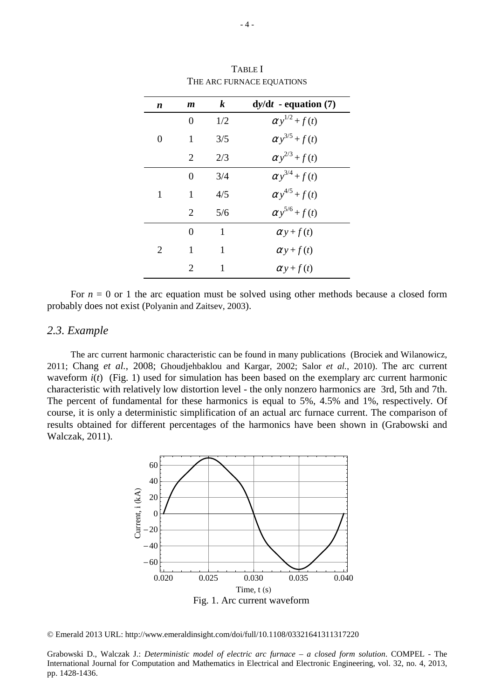| n | m                     | $\boldsymbol{k}$ | $dy/dt$ - equation (7)  |
|---|-----------------------|------------------|-------------------------|
|   | 0                     | 1/2              | $\alpha y^{1/2} + f(t)$ |
| 0 | 1                     | 3/5              | $\alpha y^{3/5} + f(t)$ |
|   | 2                     | 2/3              | $\alpha y^{2/3}+f(t)$   |
|   | 0                     | 3/4              | $\alpha y^{3/4} + f(t)$ |
| 1 | 1                     | 4/5              | $\alpha y^{4/5} + f(t)$ |
|   | $\mathcal{D}_{\cdot}$ | 5/6              | $\alpha y^{5/6} + f(t)$ |
| 2 | 0                     | 1                | $\alpha y+f(t)$         |
|   | 1                     | 1                | $\alpha y+f(t)$         |
|   | $\mathcal{D}_{\cdot}$ | 1                | $\alpha y+f(t)$         |

TABLE I THE ARC FURNACE EQUATIONS

For  $n = 0$  or 1 the arc equation must be solved using other methods because a closed form probably does not exist (Polyanin and Zaitsev, 2003).

#### *2.3. Example*

The arc current harmonic characteristic can be found in many publications (Brociek and Wilanowicz, 2011; Chang *et al.*, 2008; Ghoudjehbaklou and Kargar, 2002; Salor *et al.*, 2010). The arc current waveform  $i(t)$  (Fig. 1) used for simulation has been based on the exemplary arc current harmonic characteristic with relatively low distortion level - the only nonzero harmonics are 3rd, 5th and 7th. The percent of fundamental for these harmonics is equal to 5%, 4.5% and 1%, respectively. Of course, it is only a deterministic simplification of an actual arc furnace current. The comparison of results obtained for different percentages of the harmonics have been shown in (Grabowski and Walczak, 2011).



© Emerald 2013 URL: http://www.emeraldinsight.com/doi/full/10.1108/03321641311317220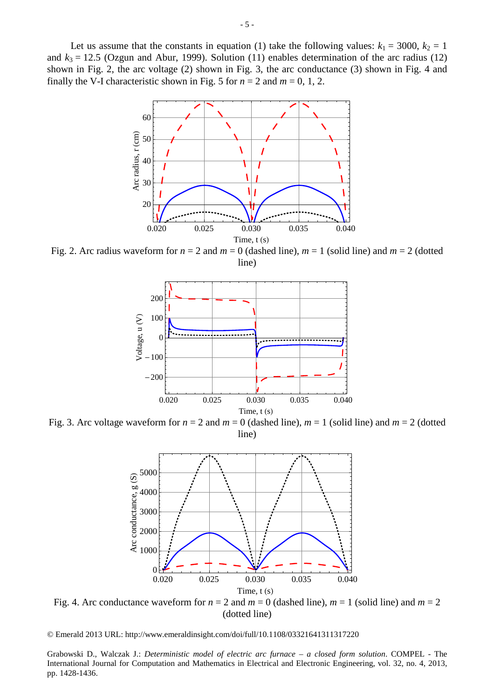Let us assume that the constants in equation (1) take the following values:  $k_1 = 3000$ ,  $k_2 = 1$ and  $k_3 = 12.5$  (Ozgun and Abur, 1999). Solution (11) enables determination of the arc radius (12) shown in Fig. 2, the arc voltage (2) shown in Fig. 3, the arc conductance (3) shown in Fig. 4 and finally the V-I characteristic shown in Fig. 5 for  $n = 2$  and  $m = 0, 1, 2$ .



Fig. 2. Arc radius waveform for  $n = 2$  and  $m = 0$  (dashed line),  $m = 1$  (solid line) and  $m = 2$  (dotted line)



Fig. 3. Arc voltage waveform for  $n = 2$  and  $m = 0$  (dashed line),  $m = 1$  (solid line) and  $m = 2$  (dotted line)



Fig. 4. Arc conductance waveform for  $n = 2$  and  $m = 0$  (dashed line),  $m = 1$  (solid line) and  $m = 2$ (dotted line)

© Emerald 2013 URL: http://www.emeraldinsight.com/doi/full/10.1108/03321641311317220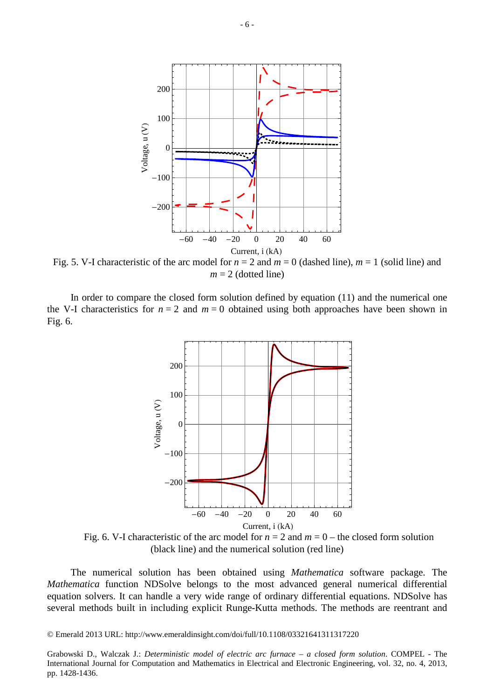

Fig. 5. V-I characteristic of the arc model for  $n = 2$  and  $m = 0$  (dashed line),  $m = 1$  (solid line) and  $m = 2$  (dotted line)

In order to compare the closed form solution defined by equation (11) and the numerical one the V-I characteristics for  $n = 2$  and  $m = 0$  obtained using both approaches have been shown in Fig. 6.



Fig. 6. V-I characteristic of the arc model for  $n = 2$  and  $m = 0$  – the closed form solution (black line) and the numerical solution (red line)

The numerical solution has been obtained using *Mathematica* software package. The *Mathematica* function NDSolve belongs to the most advanced general numerical differential equation solvers. It can handle a very wide range of ordinary differential equations. NDSolve has several methods built in including explicit Runge-Kutta methods. The methods are reentrant and

© Emerald 2013 URL: http://www.emeraldinsight.com/doi/full/10.1108/03321641311317220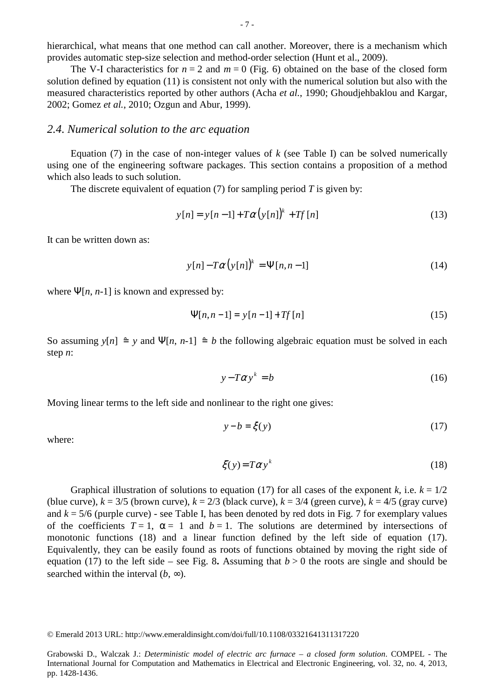hierarchical, what means that one method can call another. Moreover, there is a mechanism which provides automatic step-size selection and method-order selection (Hunt et al., 2009).

The V-I characteristics for  $n = 2$  and  $m = 0$  (Fig. 6) obtained on the base of the closed form solution defined by equation (11) is consistent not only with the numerical solution but also with the measured characteristics reported by other authors (Acha *et al.*, 1990; Ghoudjehbaklou and Kargar, 2002; Gomez *et al.*, 2010; Ozgun and Abur, 1999).

#### *2.4. Numerical solution to the arc equation*

Equation (7) in the case of non-integer values of  $k$  (see Table I) can be solved numerically using one of the engineering software packages. This section contains a proposition of a method which also leads to such solution.

The discrete equivalent of equation (7) for sampling period *T* is given by:

$$
y[n] = y[n-1] + T\alpha (y[n])^{k} + Tf[n]
$$
 (13)

It can be written down as:

$$
y[n] - T\alpha \left( y[n] \right)^k = \Psi[n, n-1] \tag{14}
$$

where  $\Psi[n, n-1]$  is known and expressed by:

$$
\Psi[n, n-1] = y[n-1] + Tf[n] \tag{15}
$$

So assuming  $y[n] \triangleq y$  and  $\Psi[n, n-1] \triangleq b$  the following algebraic equation must be solved in each step *n*:

$$
y - T\alpha y^k = b \tag{16}
$$

Moving linear terms to the left side and nonlinear to the right one gives:

$$
y - b = \xi(y) \tag{17}
$$

where:

$$
\xi(y) = T\alpha y^k \tag{18}
$$

Graphical illustration of solutions to equation (17) for all cases of the exponent *k*, i.e.  $k = 1/2$ (blue curve),  $k = 3/5$  (brown curve),  $k = 2/3$  (black curve),  $k = 3/4$  (green curve),  $k = 4/5$  (gray curve) and  $k = 5/6$  (purple curve) - see Table I, has been denoted by red dots in Fig. 7 for exemplary values of the coefficients  $T = 1$ ,  $\alpha = 1$  and  $b = 1$ . The solutions are determined by intersections of monotonic functions (18) and a linear function defined by the left side of equation (17). Equivalently, they can be easily found as roots of functions obtained by moving the right side of equation (17) to the left side – see Fig. 8. Assuming that  $b > 0$  the roots are single and should be searched within the interval  $(b, \infty)$ .

© Emerald 2013 URL: http://www.emeraldinsight.com/doi/full/10.1108/03321641311317220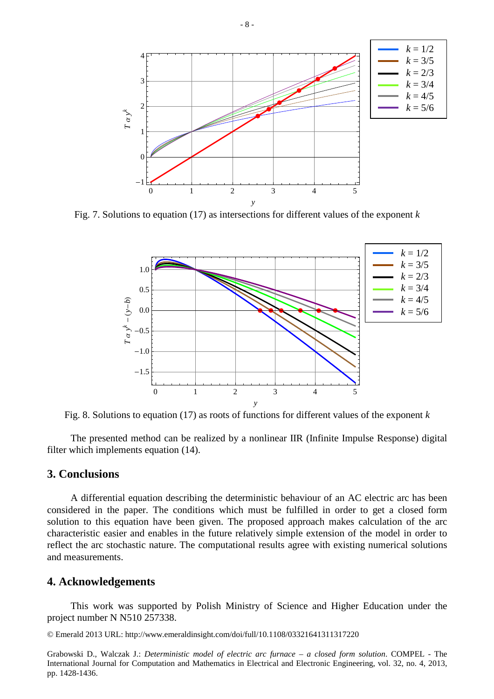

Fig. 7. Solutions to equation (17) as intersections for different values of the exponent *k*



Fig. 8. Solutions to equation (17) as roots of functions for different values of the exponent *k*

The presented method can be realized by a nonlinear IIR (Infinite Impulse Response) digital filter which implements equation (14).

# **3. Conclusions**

A differential equation describing the deterministic behaviour of an AC electric arc has been considered in the paper. The conditions which must be fulfilled in order to get a closed form solution to this equation have been given. The proposed approach makes calculation of the arc characteristic easier and enables in the future relatively simple extension of the model in order to reflect the arc stochastic nature. The computational results agree with existing numerical solutions and measurements.

# **4. Acknowledgements**

This work was supported by Polish Ministry of Science and Higher Education under the project number N N510 257338.

© Emerald 2013 URL: http://www.emeraldinsight.com/doi/full/10.1108/03321641311317220